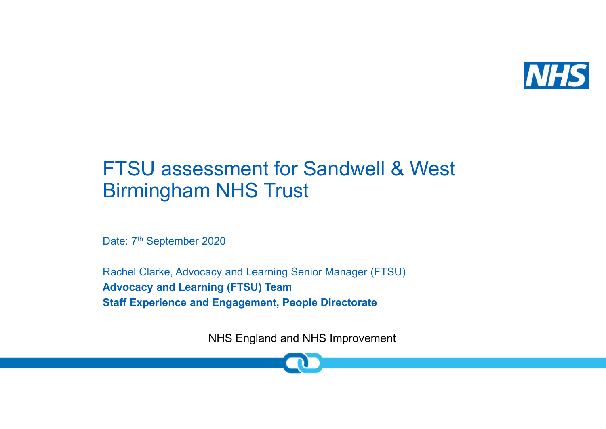

# FTSU assessment for Sandwell & West Birmingham NHS Trust

Date: 7<sup>th</sup> September 2020

Rachel Clarke, Advocacy and Learning Senior Manager (FTSU)**Advocacy and Learning (FTSU) TeamStaff Experience and Engagement, People Directorate**

NHS England and NHS Improvement

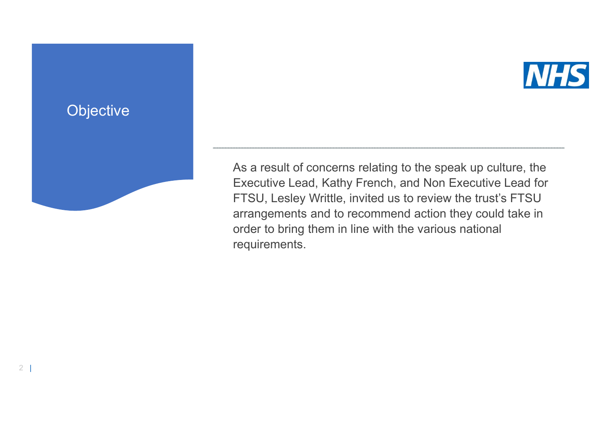

As a result of concerns relating to the speak up culture, the Executive Lead, Kathy French, and Non Executive Lead for FTSU, Lesley Writtle, invited us to review the trust's FTSU arrangements and to recommend action they could take in order to bring them in line with the various national requirements.

## **Objective**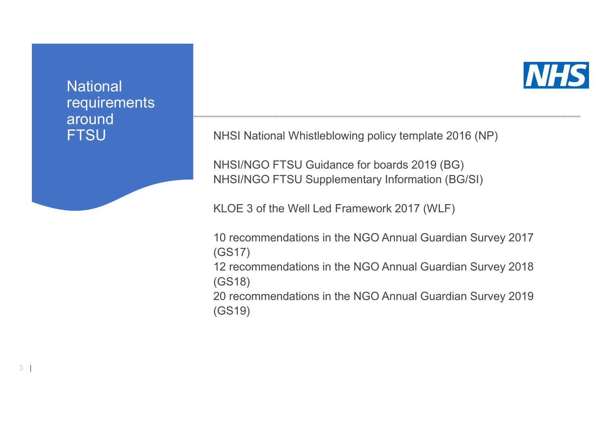### **National**  requirements around **FTSU**



NHSI National Whistleblowing policy template 2016 (NP)

NHSI/NGO FTSU Guidance for boards 2019 (BG)NHSI/NGO FTSU Supplementary Information (BG/SI)

KLOE 3 of the Well Led Framework 2017 (WLF)

10 recommendations in the NGO Annual Guardian Survey 2017 (GS17) 12 recommendations in the NGO Annual Guardian Survey 2018 (GS18) 20 recommendations in the NGO Annual Guardian Survey 2019 (GS19)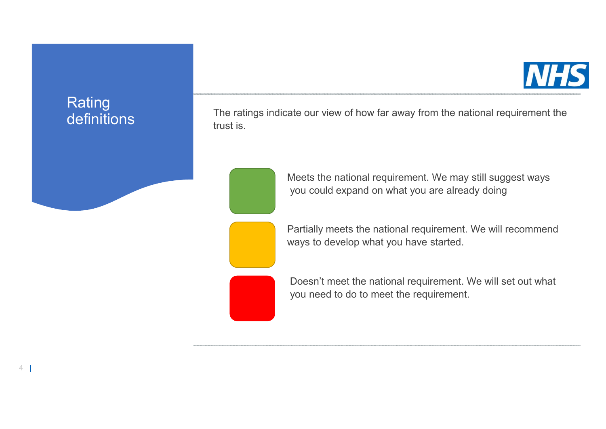

Rating definitions

The ratings indicate our view of how far away from the national requirement the trust is.

Meets the national requirement. We may still suggest ways you could expand on what you are already doing

Partially meets the national requirement. We will recommend ways to develop what you have started.

Doesn't meet the national requirement. We will set out what you need to do to meet the requirement.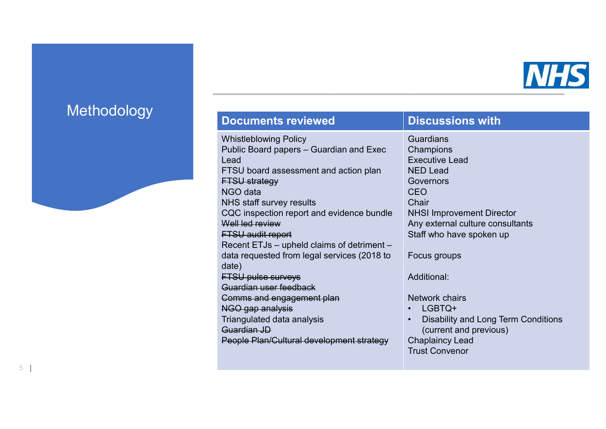

### Methodology

### **Documents reviewed Discussions with**

Whistleblowing Policy Public Board papers – Guardian and Exec Lead FTSU board assessment and action planFTSU strategy NGO data NHS staff survey results CQC inspection report and evidence bundle Well led review FTSU audit report Recent ETJs – upheld claims of detriment –<br>data requested from level comines (2019 to data requested from legal services (2018 to date) FTSU pulse surveys Guardian user feedback Comms and engagement planNGO gap analysis Triangulated data analysisGuardian JDPeople Plan/Cultural development strategy

Guardians Champions Executive LeadNED Lead GovernorsCEO Chair NHSI Improvement Director Any external culture consultantsStaff who have spoken up

Focus groups

Additional:

Network chairs

- •LGBTQ+
- • Disability and Long Term Conditions (current and previous)Chaplaincy LeadTrust Convenor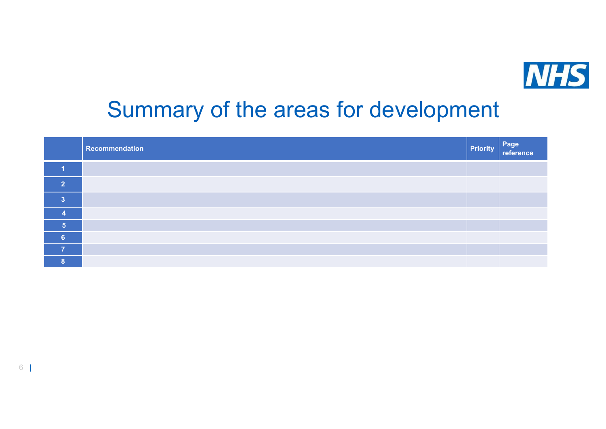

# Summary of the areas for development

|                | Recommendation | <b>Priority</b> | Page<br>reference |
|----------------|----------------|-----------------|-------------------|
|                |                |                 |                   |
| $\overline{2}$ |                |                 |                   |
| $\mathbf{3}$   |                |                 |                   |
|                |                |                 |                   |
| 5              |                |                 |                   |
| 6              |                |                 |                   |
| $\overline{ }$ |                |                 |                   |
| <b>R</b>       |                |                 |                   |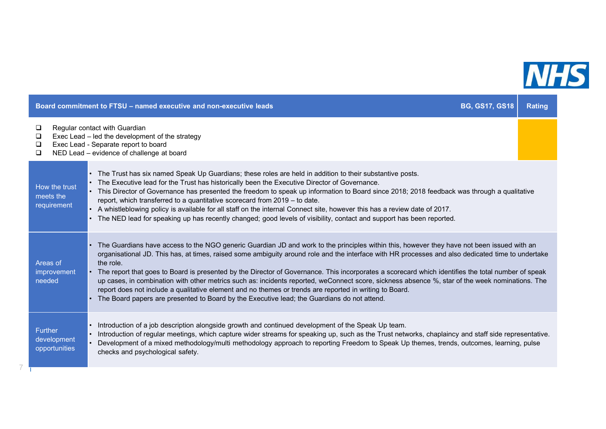

|                                                | Board commitment to FTSU - named executive and non-executive leads                                                                                                                                                                                                                                                                                                                                                                                                                                                                                                                                                                                                                                                                                                                                                                  | <b>BG, GS17, GS18</b> | <b>Rating</b> |
|------------------------------------------------|-------------------------------------------------------------------------------------------------------------------------------------------------------------------------------------------------------------------------------------------------------------------------------------------------------------------------------------------------------------------------------------------------------------------------------------------------------------------------------------------------------------------------------------------------------------------------------------------------------------------------------------------------------------------------------------------------------------------------------------------------------------------------------------------------------------------------------------|-----------------------|---------------|
| □<br>□<br>□<br>❏                               | Regular contact with Guardian<br>Exec Lead - led the development of the strategy<br>Exec Lead - Separate report to board<br>NED Lead - evidence of challenge at board                                                                                                                                                                                                                                                                                                                                                                                                                                                                                                                                                                                                                                                               |                       |               |
| How the trust<br>meets the<br>requirement      | • The Trust has six named Speak Up Guardians; these roles are held in addition to their substantive posts.<br>• The Executive lead for the Trust has historically been the Executive Director of Governance.<br>• This Director of Governance has presented the freedom to speak up information to Board since 2018; 2018 feedback was through a qualitative<br>report, which transferred to a quantitative scorecard from 2019 - to date.<br>A whistleblowing policy is available for all staff on the internal Connect site, however this has a review date of 2017.<br>The NED lead for speaking up has recently changed; good levels of visibility, contact and support has been reported.                                                                                                                                      |                       |               |
| Areas of<br>improvement<br>needed              | • The Guardians have access to the NGO generic Guardian JD and work to the principles within this, however they have not been issued with an<br>organisational JD. This has, at times, raised some ambiguity around role and the interface with HR processes and also dedicated time to undertake<br>the role.<br>The report that goes to Board is presented by the Director of Governance. This incorporates a scorecard which identifies the total number of speak<br>up cases, in combination with other metrics such as: incidents reported, weConnect score, sickness absence %, star of the week nominations. The<br>report does not include a qualitative element and no themes or trends are reported in writing to Board.<br>• The Board papers are presented to Board by the Executive lead; the Guardians do not attend. |                       |               |
| <b>Further</b><br>development<br>opportunities | Introduction of a job description alongside growth and continued development of the Speak Up team.<br>Introduction of regular meetings, which capture wider streams for speaking up, such as the Trust networks, chaplaincy and staff side representative.<br>Development of a mixed methodology/multi methodology approach to reporting Freedom to Speak Up themes, trends, outcomes, learning, pulse<br>checks and psychological safety.                                                                                                                                                                                                                                                                                                                                                                                          |                       |               |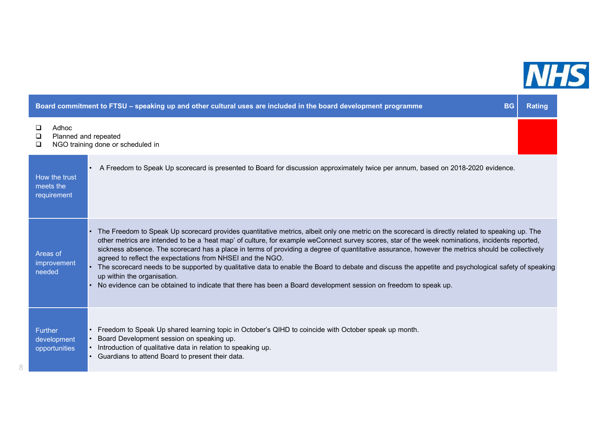

**The Contract State** 

| Board commitment to FTSU – speaking up and other cultural uses are included in the board development programme<br><b>BG</b> |                                                                                                                                                                                                                                                                                                                                                                                                                                                                                                                                                                                                                                                                                                                                                                                                                                              |  |  |  |
|-----------------------------------------------------------------------------------------------------------------------------|----------------------------------------------------------------------------------------------------------------------------------------------------------------------------------------------------------------------------------------------------------------------------------------------------------------------------------------------------------------------------------------------------------------------------------------------------------------------------------------------------------------------------------------------------------------------------------------------------------------------------------------------------------------------------------------------------------------------------------------------------------------------------------------------------------------------------------------------|--|--|--|
| Adhoc<br>□<br>Planned and repeated<br>□<br>□                                                                                | NGO training done or scheduled in                                                                                                                                                                                                                                                                                                                                                                                                                                                                                                                                                                                                                                                                                                                                                                                                            |  |  |  |
| How the trust<br>meets the<br>requirement                                                                                   | A Freedom to Speak Up scorecard is presented to Board for discussion approximately twice per annum, based on 2018-2020 evidence.                                                                                                                                                                                                                                                                                                                                                                                                                                                                                                                                                                                                                                                                                                             |  |  |  |
| Areas of<br>improvement<br>needed                                                                                           | The Freedom to Speak Up scorecard provides quantitative metrics, albeit only one metric on the scorecard is directly related to speaking up. The<br>$\bullet$<br>other metrics are intended to be a 'heat map' of culture, for example weConnect survey scores, star of the week nominations, incidents reported,<br>sickness absence. The scorecard has a place in terms of providing a degree of quantitative assurance, however the metrics should be collectively<br>agreed to reflect the expectations from NHSEI and the NGO.<br>The scorecard needs to be supported by qualitative data to enable the Board to debate and discuss the appetite and psychological safety of speaking<br>up within the organisation.<br>No evidence can be obtained to indicate that there has been a Board development session on freedom to speak up. |  |  |  |
| <b>Further</b><br>development<br>opportunities                                                                              | Freedom to Speak Up shared learning topic in October's QIHD to coincide with October speak up month.<br>Board Development session on speaking up.<br>Introduction of qualitative data in relation to speaking up.<br>Guardians to attend Board to present their data.                                                                                                                                                                                                                                                                                                                                                                                                                                                                                                                                                                        |  |  |  |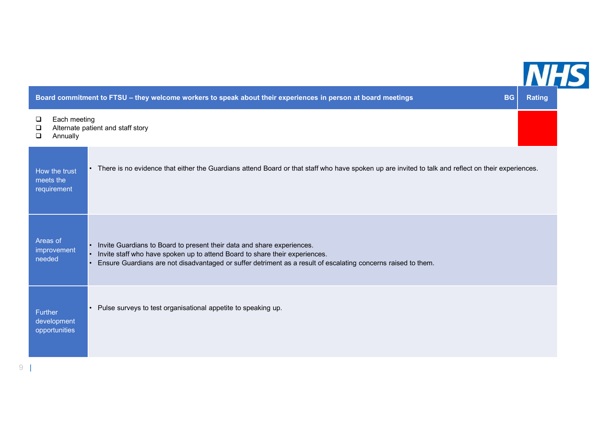

|                                           | Board commitment to FTSU - they welcome workers to speak about their experiences in person at board meetings<br><b>BG</b><br><b>Rating</b>                                                                                                                                                       |  |
|-------------------------------------------|--------------------------------------------------------------------------------------------------------------------------------------------------------------------------------------------------------------------------------------------------------------------------------------------------|--|
| Each meeting<br>❏<br>❏<br>❏<br>Annually   | Alternate patient and staff story                                                                                                                                                                                                                                                                |  |
| How the trust<br>meets the<br>requirement | • There is no evidence that either the Guardians attend Board or that staff who have spoken up are invited to talk and reflect on their experiences.                                                                                                                                             |  |
| Areas of<br>improvement<br>needed         | Invite Guardians to Board to present their data and share experiences.<br>$\bullet$<br>Invite staff who have spoken up to attend Board to share their experiences.<br>$\bullet$<br>Ensure Guardians are not disadvantaged or suffer detriment as a result of escalating concerns raised to them. |  |
| Further<br>development<br>opportunities   | Pulse surveys to test organisational appetite to speaking up.                                                                                                                                                                                                                                    |  |

9 |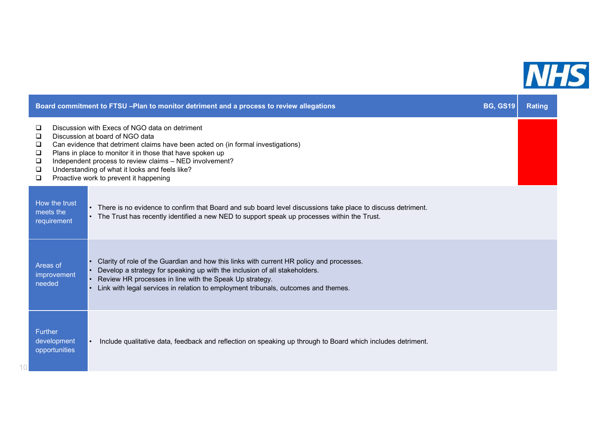

|                                                | Board commitment to FTSU -Plan to monitor detriment and a process to review allegations                                                                                                                                                                                                                                                                                                   | <b>BG, GS19</b> | <b>Rating</b> |
|------------------------------------------------|-------------------------------------------------------------------------------------------------------------------------------------------------------------------------------------------------------------------------------------------------------------------------------------------------------------------------------------------------------------------------------------------|-----------------|---------------|
| □<br>❏<br>❏<br>❏<br>❏<br>❏<br>$\Box$           | Discussion with Execs of NGO data on detriment<br>Discussion at board of NGO data<br>Can evidence that detriment claims have been acted on (in formal investigations)<br>Plans in place to monitor it in those that have spoken up<br>Independent process to review claims - NED involvement?<br>Understanding of what it looks and feels like?<br>Proactive work to prevent it happening |                 |               |
| How the trust<br>meets the<br>requirement      | • There is no evidence to confirm that Board and sub board level discussions take place to discuss detriment.<br>• The Trust has recently identified a new NED to support speak up processes within the Trust.                                                                                                                                                                            |                 |               |
| Areas of<br>improvement<br>needed              | Clarity of role of the Guardian and how this links with current HR policy and processes.<br>Develop a strategy for speaking up with the inclusion of all stakeholders.<br>Review HR processes in line with the Speak Up strategy.<br>Link with legal services in relation to employment tribunals, outcomes and themes.                                                                   |                 |               |
| <b>Further</b><br>development<br>opportunities | Include qualitative data, feedback and reflection on speaking up through to Board which includes detriment.                                                                                                                                                                                                                                                                               |                 |               |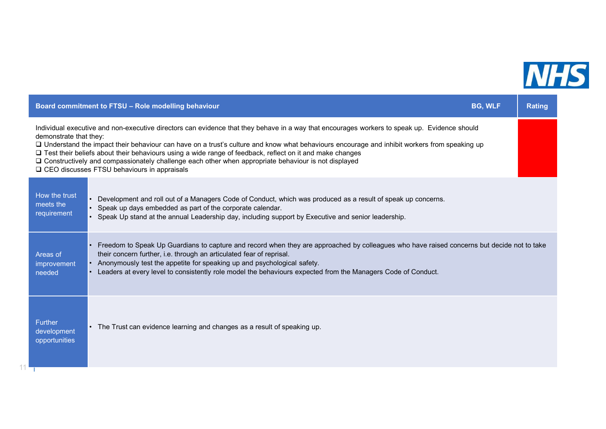

**Contract Contract** 

| Board commitment to FTSU - Role modelling behaviour                                                                                                                                                                                                                                                                                                                                                                                                                                                                                                                                             | <b>BG, WLF</b> | <b>Rating</b> |
|-------------------------------------------------------------------------------------------------------------------------------------------------------------------------------------------------------------------------------------------------------------------------------------------------------------------------------------------------------------------------------------------------------------------------------------------------------------------------------------------------------------------------------------------------------------------------------------------------|----------------|---------------|
| Individual executive and non-executive directors can evidence that they behave in a way that encourages workers to speak up. Evidence should<br>demonstrate that they:<br>□ Understand the impact their behaviour can have on a trust's culture and know what behaviours encourage and inhibit workers from speaking up<br>□ Test their beliefs about their behaviours using a wide range of feedback, reflect on it and make changes<br>□ Constructively and compassionately challenge each other when appropriate behaviour is not displayed<br>□ CEO discusses FTSU behaviours in appraisals |                |               |
| How the trust<br>• Development and roll out of a Managers Code of Conduct, which was produced as a result of speak up concerns.<br>meets the<br>• Speak up days embedded as part of the corporate calendar.<br>requirement<br>• Speak Up stand at the annual Leadership day, including support by Executive and senior leadership.                                                                                                                                                                                                                                                              |                |               |
| • Freedom to Speak Up Guardians to capture and record when they are approached by colleagues who have raised concerns but decide not to take<br>their concern further, i.e. through an articulated fear of reprisal.<br>Areas of<br>• Anonymously test the appetite for speaking up and psychological safety.<br>improvement<br>• Leaders at every level to consistently role model the behaviours expected from the Managers Code of Conduct.<br>needed                                                                                                                                        |                |               |
| <b>Further</b><br>• The Trust can evidence learning and changes as a result of speaking up.<br>development<br>opportunities                                                                                                                                                                                                                                                                                                                                                                                                                                                                     |                |               |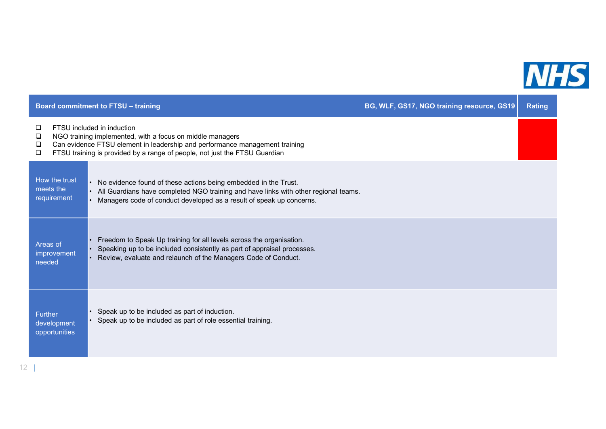

|                            |                                           | <b>Board commitment to FTSU - training</b>                                                                                                                                                                                                           | BG, WLF, GS17, NGO training resource, GS19 | <b>Rating</b> |
|----------------------------|-------------------------------------------|------------------------------------------------------------------------------------------------------------------------------------------------------------------------------------------------------------------------------------------------------|--------------------------------------------|---------------|
| ❏<br>❏<br>$\Box$<br>$\Box$ |                                           | FTSU included in induction<br>NGO training implemented, with a focus on middle managers<br>Can evidence FTSU element in leadership and performance management training<br>FTSU training is provided by a range of people, not just the FTSU Guardian |                                            |               |
|                            | How the trust<br>meets the<br>requirement | No evidence found of these actions being embedded in the Trust.<br>All Guardians have completed NGO training and have links with other regional teams.<br>Managers code of conduct developed as a result of speak up concerns.                       |                                            |               |
| Areas of<br>needed         | improvement                               | Freedom to Speak Up training for all levels across the organisation.<br>Speaking up to be included consistently as part of appraisal processes.<br>Review, evaluate and relaunch of the Managers Code of Conduct.                                    |                                            |               |
| <b>Further</b>             | development<br>opportunities              | Speak up to be included as part of induction.<br>Speak up to be included as part of role essential training.                                                                                                                                         |                                            |               |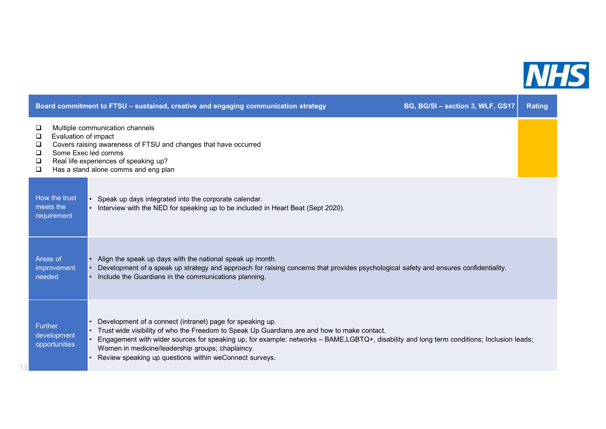

|                                                                    | Board commitment to FTSU - sustained, creative and engaging communication strategy                                                                                                                                                                                                                                                                                                                                  | BG, BG/SI - section 3, WLF, GS17 | <b>Rating</b> |
|--------------------------------------------------------------------|---------------------------------------------------------------------------------------------------------------------------------------------------------------------------------------------------------------------------------------------------------------------------------------------------------------------------------------------------------------------------------------------------------------------|----------------------------------|---------------|
| □<br>Evaluation of impact<br>$\Box$<br>❏<br>$\Box$<br>Q.<br>$\Box$ | Multiple communication channels<br>Covers raising awareness of FTSU and changes that have occurred<br>Some Exec led comms<br>Real life experiences of speaking up?<br>Has a stand alone comms and eng plan                                                                                                                                                                                                          |                                  |               |
| How the trust<br>meets the<br>requirement                          | Speak up days integrated into the corporate calendar.<br>Interview with the NED for speaking up to be included in Heart Beat (Sept 2020).                                                                                                                                                                                                                                                                           |                                  |               |
| Areas of<br>improvement<br>needed                                  | Align the speak up days with the national speak up month.<br>Development of a speak up strategy and approach for raising concerns that provides psychological safety and ensures confidentiality.<br>Include the Guardians in the communications planning.                                                                                                                                                          |                                  |               |
| <b>Further</b><br>development<br>opportunities                     | Development of a connect (intranet) page for speaking up.<br>Trust wide visibility of who the Freedom to Speak Up Guardians are and how to make contact.<br>Engagement with wider sources for speaking up, for example: networks - BAME,LGBTQ+, disability and long term conditions; Inclusion leads;<br>Women in medicine/leadership groups; chaplaincy.<br>Review speaking up questions within weConnect surveys. |                                  |               |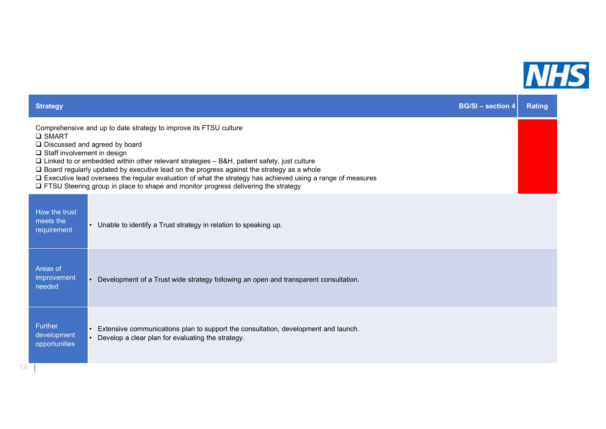

| <b>Strategy</b>                                      |                                                                                                                                                                                                                                                                                                                                                                                                                                                                                                                         | <b>BG/SI-section 4</b> | <b>Rating</b> |
|------------------------------------------------------|-------------------------------------------------------------------------------------------------------------------------------------------------------------------------------------------------------------------------------------------------------------------------------------------------------------------------------------------------------------------------------------------------------------------------------------------------------------------------------------------------------------------------|------------------------|---------------|
| <b>Q SMART</b><br>$\Box$ Staff involvement in design | Comprehensive and up to date strategy to improve its FTSU culture<br>□ Discussed and agreed by board<br>$\Box$ Linked to or embedded within other relevant strategies $-$ B&H, patient safety, just culture<br>$\Box$ Board regularly updated by executive lead on the progress against the strategy as a whole<br>□ Executive lead oversees the regular evaluation of what the strategy has achieved using a range of measures<br>□ FTSU Steering group in place to shape and monitor progress delivering the strategy |                        |               |
| How the trust<br>meets the<br>requirement            | • Unable to identify a Trust strategy in relation to speaking up.                                                                                                                                                                                                                                                                                                                                                                                                                                                       |                        |               |
| Areas of<br>improvement<br>needed                    | Development of a Trust wide strategy following an open and transparent consultation.                                                                                                                                                                                                                                                                                                                                                                                                                                    |                        |               |
| <b>Further</b><br>development<br>opportunities       | Extensive communications plan to support the consultation, development and launch.<br>Develop a clear plan for evaluating the strategy.                                                                                                                                                                                                                                                                                                                                                                                 |                        |               |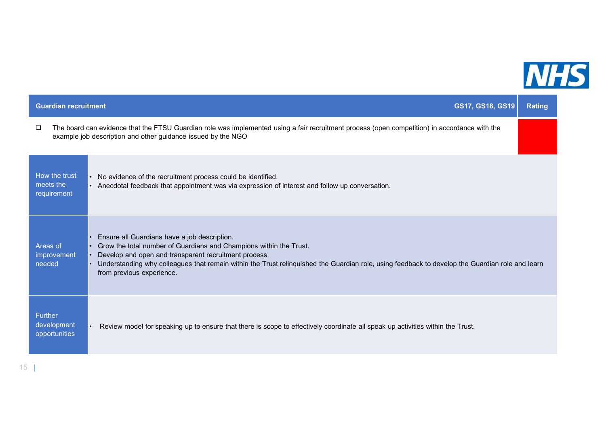

| The board can evidence that the FTSU Guardian role was implemented using a fair recruitment process (open competition) in accordance with the<br>□                                                                                                                                                                                                                                               |
|--------------------------------------------------------------------------------------------------------------------------------------------------------------------------------------------------------------------------------------------------------------------------------------------------------------------------------------------------------------------------------------------------|
| example job description and other guidance issued by the NGO                                                                                                                                                                                                                                                                                                                                     |
| How the trust<br>No evidence of the recruitment process could be identified.<br>meets the<br>• Anecdotal feedback that appointment was via expression of interest and follow up conversation.<br>requirement                                                                                                                                                                                     |
| Ensure all Guardians have a job description.<br>Grow the total number of Guardians and Champions within the Trust.<br>Areas of<br>Develop and open and transparent recruitment process.<br>improvement<br>needed<br>Understanding why colleagues that remain within the Trust relinquished the Guardian role, using feedback to develop the Guardian role and learn<br>from previous experience. |
| Further<br>development<br>Review model for speaking up to ensure that there is scope to effectively coordinate all speak up activities within the Trust.<br>opportunities                                                                                                                                                                                                                        |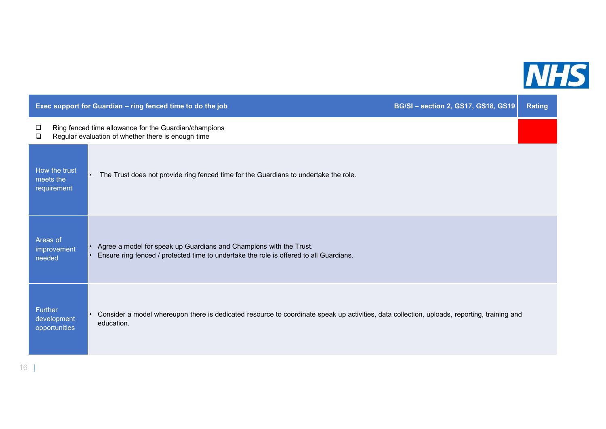

|                                           | Exec support for Guardian - ring fenced time to do the job                                                                                                             | <b>BG/SI-section 2, GS17, GS18, GS19</b> | <b>Rating</b> |
|-------------------------------------------|------------------------------------------------------------------------------------------------------------------------------------------------------------------------|------------------------------------------|---------------|
| □<br>□                                    | Ring fenced time allowance for the Guardian/champions<br>Regular evaluation of whether there is enough time                                                            |                                          |               |
| How the trust<br>meets the<br>requirement | The Trust does not provide ring fenced time for the Guardians to undertake the role.<br>$\bullet$                                                                      |                                          |               |
| Areas of<br>improvement<br>needed         | • Agree a model for speak up Guardians and Champions with the Trust.<br>Ensure ring fenced / protected time to undertake the role is offered to all Guardians.         |                                          |               |
| Further<br>development<br>opportunities   | Consider a model whereupon there is dedicated resource to coordinate speak up activities, data collection, uploads, reporting, training and<br>$\bullet$<br>education. |                                          |               |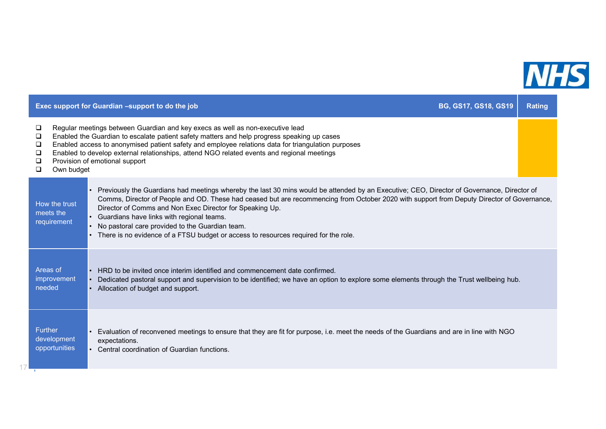

|                                                |            | Exec support for Guardian -support to do the job                                                                                                                                                                                                                                                                                                                                                                                                                                                                                            | <b>BG, GS17, GS18, GS19</b> | <b>Rating</b> |
|------------------------------------------------|------------|---------------------------------------------------------------------------------------------------------------------------------------------------------------------------------------------------------------------------------------------------------------------------------------------------------------------------------------------------------------------------------------------------------------------------------------------------------------------------------------------------------------------------------------------|-----------------------------|---------------|
| Q.<br>□<br>❏<br>❏<br>❏<br>$\Box$               | Own budget | Regular meetings between Guardian and key execs as well as non-executive lead<br>Enabled the Guardian to escalate patient safety matters and help progress speaking up cases<br>Enabled access to anonymised patient safety and employee relations data for triangulation purposes<br>Enabled to develop external relationships, attend NGO related events and regional meetings<br>Provision of emotional support                                                                                                                          |                             |               |
| How the trust<br>meets the<br>requirement      |            | Previously the Guardians had meetings whereby the last 30 mins would be attended by an Executive; CEO, Director of Governance, Director of<br>Comms, Director of People and OD. These had ceased but are recommencing from October 2020 with support from Deputy Director of Governance,<br>Director of Comms and Non Exec Director for Speaking Up.<br>Guardians have links with regional teams.<br>No pastoral care provided to the Guardian team.<br>There is no evidence of a FTSU budget or access to resources required for the role. |                             |               |
| Areas of<br>improvement<br>needed              |            | HRD to be invited once interim identified and commencement date confirmed.<br>Dedicated pastoral support and supervision to be identified; we have an option to explore some elements through the Trust wellbeing hub.<br>Allocation of budget and support.                                                                                                                                                                                                                                                                                 |                             |               |
| <b>Further</b><br>development<br>opportunities |            | Evaluation of reconvened meetings to ensure that they are fit for purpose, i.e. meet the needs of the Guardians and are in line with NGO<br>expectations.<br>Central coordination of Guardian functions.                                                                                                                                                                                                                                                                                                                                    |                             |               |

 $17 -$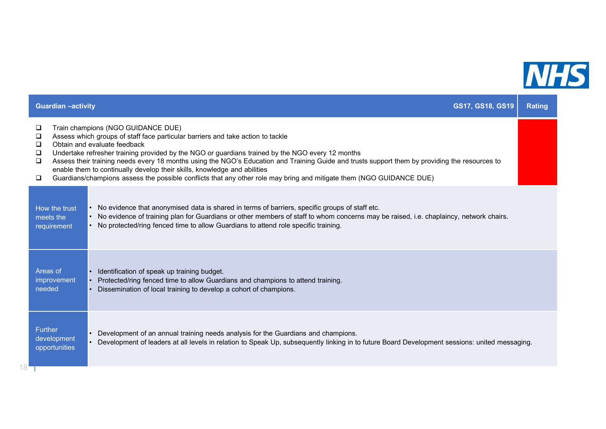

|                                                          | <b>Guardian -activity</b>                      | GS17, GS18, GS19                                                                                                                                                                                                                                                                                                                                                                                                                                                                                                                                                                                                | <b>Rating</b> |
|----------------------------------------------------------|------------------------------------------------|-----------------------------------------------------------------------------------------------------------------------------------------------------------------------------------------------------------------------------------------------------------------------------------------------------------------------------------------------------------------------------------------------------------------------------------------------------------------------------------------------------------------------------------------------------------------------------------------------------------------|---------------|
| $\Box$<br>$\Box$<br>$\Box$<br>$\Box$<br>$\Box$<br>$\Box$ |                                                | Train champions (NGO GUIDANCE DUE)<br>Assess which groups of staff face particular barriers and take action to tackle<br>Obtain and evaluate feedback<br>Undertake refresher training provided by the NGO or guardians trained by the NGO every 12 months<br>Assess their training needs every 18 months using the NGO's Education and Training Guide and trusts support them by providing the resources to<br>enable them to continually develop their skills, knowledge and abilities<br>Guardians/champions assess the possible conflicts that any other role may bring and mitigate them (NGO GUIDANCE DUE) |               |
|                                                          | How the trust<br>meets the<br>requirement      | • No evidence that anonymised data is shared in terms of barriers, specific groups of staff etc.<br>• No evidence of training plan for Guardians or other members of staff to whom concerns may be raised, i.e. chaplaincy, network chairs.<br>• No protected/ring fenced time to allow Guardians to attend role specific training.                                                                                                                                                                                                                                                                             |               |
|                                                          | Areas of<br>improvement<br>needed              | Identification of speak up training budget.<br>Protected/ring fenced time to allow Guardians and champions to attend training.<br>Dissemination of local training to develop a cohort of champions.                                                                                                                                                                                                                                                                                                                                                                                                             |               |
| 18'                                                      | <b>Further</b><br>development<br>opportunities | Development of an annual training needs analysis for the Guardians and champions.<br>Development of leaders at all levels in relation to Speak Up, subsequently linking in to future Board Development sessions: united messaging.                                                                                                                                                                                                                                                                                                                                                                              |               |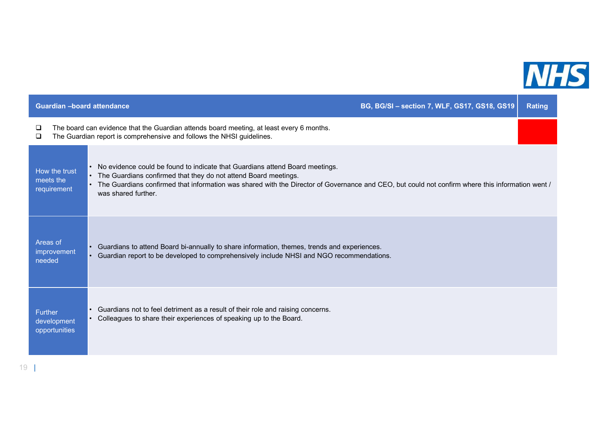

| <b>Guardian -board attendance</b>              |                                                                                                                                                                                                                                                                                                                            | BG, BG/SI - section 7, WLF, GS17, GS18, GS19 | <b>Rating</b> |
|------------------------------------------------|----------------------------------------------------------------------------------------------------------------------------------------------------------------------------------------------------------------------------------------------------------------------------------------------------------------------------|----------------------------------------------|---------------|
| ❏<br>❏                                         | The board can evidence that the Guardian attends board meeting, at least every 6 months.<br>The Guardian report is comprehensive and follows the NHSI guidelines.                                                                                                                                                          |                                              |               |
| How the trust<br>meets the<br>requirement      | No evidence could be found to indicate that Guardians attend Board meetings.<br>The Guardians confirmed that they do not attend Board meetings.<br>The Guardians confirmed that information was shared with the Director of Governance and CEO, but could not confirm where this information went /<br>was shared further. |                                              |               |
| Areas of<br>improvement<br>needed              | Guardians to attend Board bi-annually to share information, themes, trends and experiences.<br>Guardian report to be developed to comprehensively include NHSI and NGO recommendations.                                                                                                                                    |                                              |               |
| <b>Further</b><br>development<br>opportunities | Guardians not to feel detriment as a result of their role and raising concerns.<br>Colleagues to share their experiences of speaking up to the Board.                                                                                                                                                                      |                                              |               |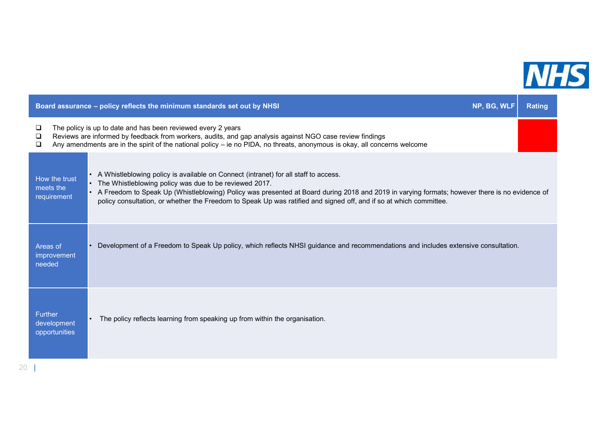

| Board assurance - policy reflects the minimum standards set out by NHSI                                                                                                                                                                                                                                                                                                                                                                                             | NP, BG, WLF | <b>Rating</b> |
|---------------------------------------------------------------------------------------------------------------------------------------------------------------------------------------------------------------------------------------------------------------------------------------------------------------------------------------------------------------------------------------------------------------------------------------------------------------------|-------------|---------------|
| The policy is up to date and has been reviewed every 2 years<br>□<br>Reviews are informed by feedback from workers, audits, and gap analysis against NGO case review findings<br>$\Box$<br>Any amendments are in the spirit of the national policy – ie no PIDA, no threats, anonymous is okay, all concerns welcome<br>□                                                                                                                                           |             |               |
| A Whistleblowing policy is available on Connect (intranet) for all staff to access.<br>How the trust<br>The Whistleblowing policy was due to be reviewed 2017.<br>meets the<br>• A Freedom to Speak Up (Whistleblowing) Policy was presented at Board during 2018 and 2019 in varying formats; however there is no evidence of<br>requirement<br>policy consultation, or whether the Freedom to Speak Up was ratified and signed off, and if so at which committee. |             |               |
| Development of a Freedom to Speak Up policy, which reflects NHSI guidance and recommendations and includes extensive consultation.<br>Areas of<br>improvement<br>needed                                                                                                                                                                                                                                                                                             |             |               |
| Further<br>The policy reflects learning from speaking up from within the organisation.<br>development<br>opportunities                                                                                                                                                                                                                                                                                                                                              |             |               |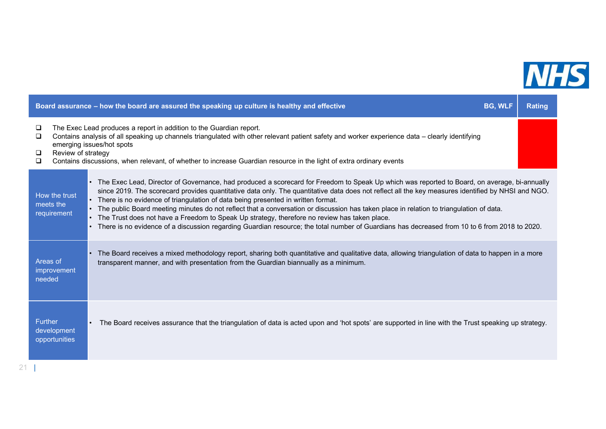

|                                 |                              | Board assurance - how the board are assured the speaking up culture is healthy and effective<br><b>BG, WLF</b>                                                                                                                                                                                                                                                                                                                                                                                                                                                                                                                                                                                                                                                                     | Rating |
|---------------------------------|------------------------------|------------------------------------------------------------------------------------------------------------------------------------------------------------------------------------------------------------------------------------------------------------------------------------------------------------------------------------------------------------------------------------------------------------------------------------------------------------------------------------------------------------------------------------------------------------------------------------------------------------------------------------------------------------------------------------------------------------------------------------------------------------------------------------|--------|
| $\Box$<br>$\Box$<br>⊔<br>$\Box$ | Review of strategy           | The Exec Lead produces a report in addition to the Guardian report.<br>Contains analysis of all speaking up channels triangulated with other relevant patient safety and worker experience data – clearly identifying<br>emerging issues/hot spots<br>Contains discussions, when relevant, of whether to increase Guardian resource in the light of extra ordinary events                                                                                                                                                                                                                                                                                                                                                                                                          |        |
| meets the                       | How the trust<br>requirement | The Exec Lead, Director of Governance, had produced a scorecard for Freedom to Speak Up which was reported to Board, on average, bi-annually<br>since 2019. The scorecard provides quantitative data only. The quantitative data does not reflect all the key measures identified by NHSI and NGO.<br>There is no evidence of triangulation of data being presented in written format.<br>The public Board meeting minutes do not reflect that a conversation or discussion has taken place in relation to triangulation of data.<br>The Trust does not have a Freedom to Speak Up strategy, therefore no review has taken place.<br>There is no evidence of a discussion regarding Guardian resource; the total number of Guardians has decreased from 10 to 6 from 2018 to 2020. |        |
| Areas of<br>needed              | improvement                  | The Board receives a mixed methodology report, sharing both quantitative and qualitative data, allowing triangulation of data to happen in a more<br>transparent manner, and with presentation from the Guardian biannually as a minimum.                                                                                                                                                                                                                                                                                                                                                                                                                                                                                                                                          |        |
| <b>Further</b>                  | development<br>opportunities | The Board receives assurance that the triangulation of data is acted upon and 'hot spots' are supported in line with the Trust speaking up strategy.                                                                                                                                                                                                                                                                                                                                                                                                                                                                                                                                                                                                                               |        |
|                                 |                              |                                                                                                                                                                                                                                                                                                                                                                                                                                                                                                                                                                                                                                                                                                                                                                                    |        |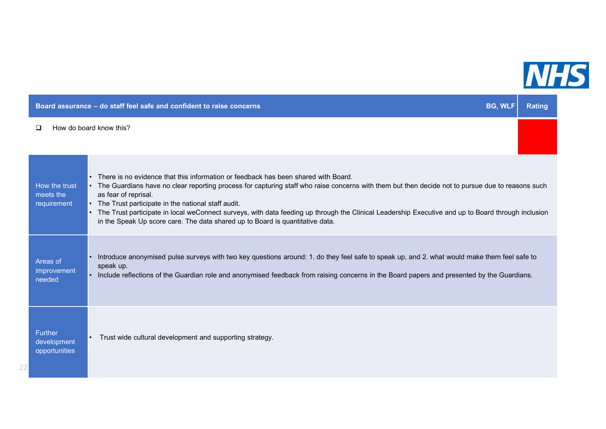

|                                                | Board assurance - do staff feel safe and confident to raise concerns                                                                                                                                                                                                                                                                                                                                                                                                                                                                                              | <b>BG, WLF</b> | <b>Rating</b> |
|------------------------------------------------|-------------------------------------------------------------------------------------------------------------------------------------------------------------------------------------------------------------------------------------------------------------------------------------------------------------------------------------------------------------------------------------------------------------------------------------------------------------------------------------------------------------------------------------------------------------------|----------------|---------------|
| □                                              | How do board know this?                                                                                                                                                                                                                                                                                                                                                                                                                                                                                                                                           |                |               |
| How the trust<br>meets the<br>requirement      | • There is no evidence that this information or feedback has been shared with Board.<br>• The Guardians have no clear reporting process for capturing staff who raise concerns with them but then decide not to pursue due to reasons such<br>as fear of reprisal.<br>• The Trust participate in the national staff audit.<br>The Trust participate in local weConnect surveys, with data feeding up through the Clinical Leadership Executive and up to Board through inclusion<br>in the Speak Up score care. The data shared up to Board is quantitative data. |                |               |
| Areas of<br>improvement<br>needed              | Introduce anonymised pulse surveys with two key questions around: 1. do they feel safe to speak up, and 2. what would make them feel safe to<br>speak up.<br>Include reflections of the Guardian role and anonymised feedback from raising concerns in the Board papers and presented by the Guardians.                                                                                                                                                                                                                                                           |                |               |
| <b>Further</b><br>development<br>opportunities | • Trust wide cultural development and supporting strategy.                                                                                                                                                                                                                                                                                                                                                                                                                                                                                                        |                |               |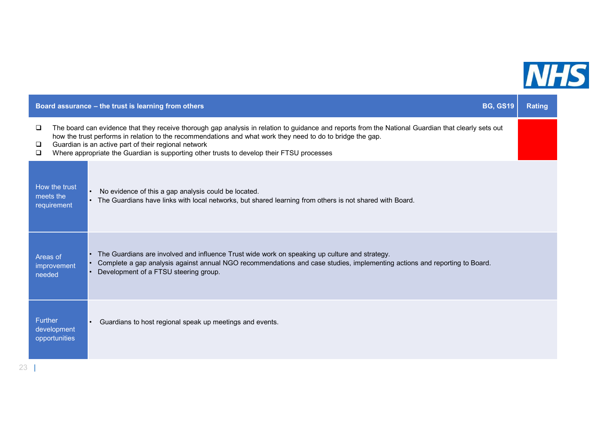

|                                                | Board assurance - the trust is learning from others                                                                                                                                                                                                                                                                                                                                                                    | <b>BG, GS19</b> | <b>Rating</b> |
|------------------------------------------------|------------------------------------------------------------------------------------------------------------------------------------------------------------------------------------------------------------------------------------------------------------------------------------------------------------------------------------------------------------------------------------------------------------------------|-----------------|---------------|
| $\Box$<br>❏<br>❏                               | The board can evidence that they receive thorough gap analysis in relation to guidance and reports from the National Guardian that clearly sets out<br>how the trust performs in relation to the recommendations and what work they need to do to bridge the gap.<br>Guardian is an active part of their regional network<br>Where appropriate the Guardian is supporting other trusts to develop their FTSU processes |                 |               |
| How the trust<br>meets the<br>requirement      | No evidence of this a gap analysis could be located.<br>The Guardians have links with local networks, but shared learning from others is not shared with Board.                                                                                                                                                                                                                                                        |                 |               |
| Areas of<br>improvement<br>needed              | The Guardians are involved and influence Trust wide work on speaking up culture and strategy.<br>Complete a gap analysis against annual NGO recommendations and case studies, implementing actions and reporting to Board.<br>Development of a FTSU steering group.                                                                                                                                                    |                 |               |
| <b>Further</b><br>development<br>opportunities | Guardians to host regional speak up meetings and events.                                                                                                                                                                                                                                                                                                                                                               |                 |               |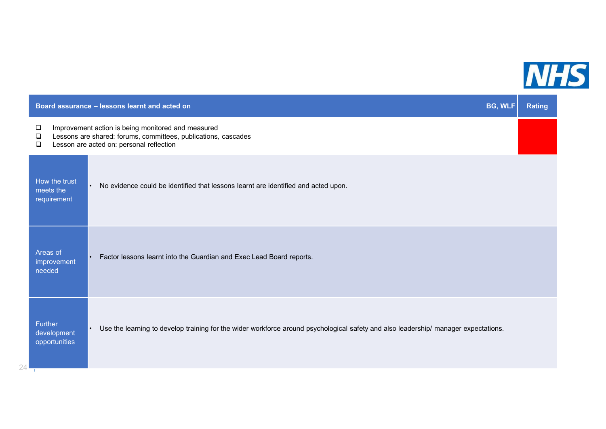

|                                                                                                                                                                                           | Board assurance - lessons learnt and acted on<br><b>BG, WLF</b>                                                                                  |  | <b>Rating</b> |
|-------------------------------------------------------------------------------------------------------------------------------------------------------------------------------------------|--------------------------------------------------------------------------------------------------------------------------------------------------|--|---------------|
| Improvement action is being monitored and measured<br>❏<br>Lessons are shared: forums, committees, publications, cascades<br>$\Box$<br>Lesson are acted on: personal reflection<br>$\Box$ |                                                                                                                                                  |  |               |
| How the trust<br>meets the<br>requirement                                                                                                                                                 | No evidence could be identified that lessons learnt are identified and acted upon.<br>$\bullet$                                                  |  |               |
| Areas of<br>improvement<br>needed                                                                                                                                                         | Factor lessons learnt into the Guardian and Exec Lead Board reports.                                                                             |  |               |
| Further<br>development<br>opportunities                                                                                                                                                   | Use the learning to develop training for the wider workforce around psychological safety and also leadership/ manager expectations.<br>$\bullet$ |  |               |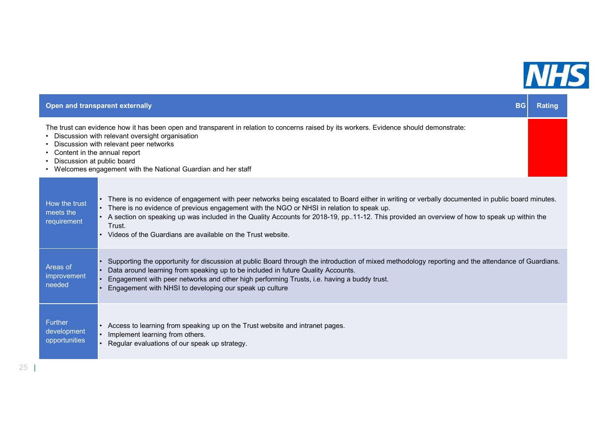

|                                                                                                                                                                                                                                                                                                                                                                            | Open and transparent externally<br><b>BG</b>                                                                                                                                                                                                                                                                                                                                                                                                                                  |  |
|----------------------------------------------------------------------------------------------------------------------------------------------------------------------------------------------------------------------------------------------------------------------------------------------------------------------------------------------------------------------------|-------------------------------------------------------------------------------------------------------------------------------------------------------------------------------------------------------------------------------------------------------------------------------------------------------------------------------------------------------------------------------------------------------------------------------------------------------------------------------|--|
| The trust can evidence how it has been open and transparent in relation to concerns raised by its workers. Evidence should demonstrate:<br>• Discussion with relevant oversight organisation<br>• Discussion with relevant peer networks<br>Content in the annual report<br>• Discussion at public board<br>• Welcomes engagement with the National Guardian and her staff |                                                                                                                                                                                                                                                                                                                                                                                                                                                                               |  |
| How the trust<br>meets the<br>requirement                                                                                                                                                                                                                                                                                                                                  | • There is no evidence of engagement with peer networks being escalated to Board either in writing or verbally documented in public board minutes.<br>• There is no evidence of previous engagement with the NGO or NHSI in relation to speak up.<br>• A section on speaking up was included in the Quality Accounts for 2018-19, pp11-12. This provided an overview of how to speak up within the<br>Trust.<br>• Videos of the Guardians are available on the Trust website. |  |
| Areas of<br>improvement<br>needed                                                                                                                                                                                                                                                                                                                                          | Supporting the opportunity for discussion at public Board through the introduction of mixed methodology reporting and the attendance of Guardians.<br>Data around learning from speaking up to be included in future Quality Accounts.<br>Engagement with peer networks and other high performing Trusts, i.e. having a buddy trust.<br>Engagement with NHSI to developing our speak up culture                                                                               |  |
| <b>Further</b><br>development<br>opportunities                                                                                                                                                                                                                                                                                                                             | • Access to learning from speaking up on the Trust website and intranet pages.<br>Implement learning from others.<br>Regular evaluations of our speak up strategy.                                                                                                                                                                                                                                                                                                            |  |